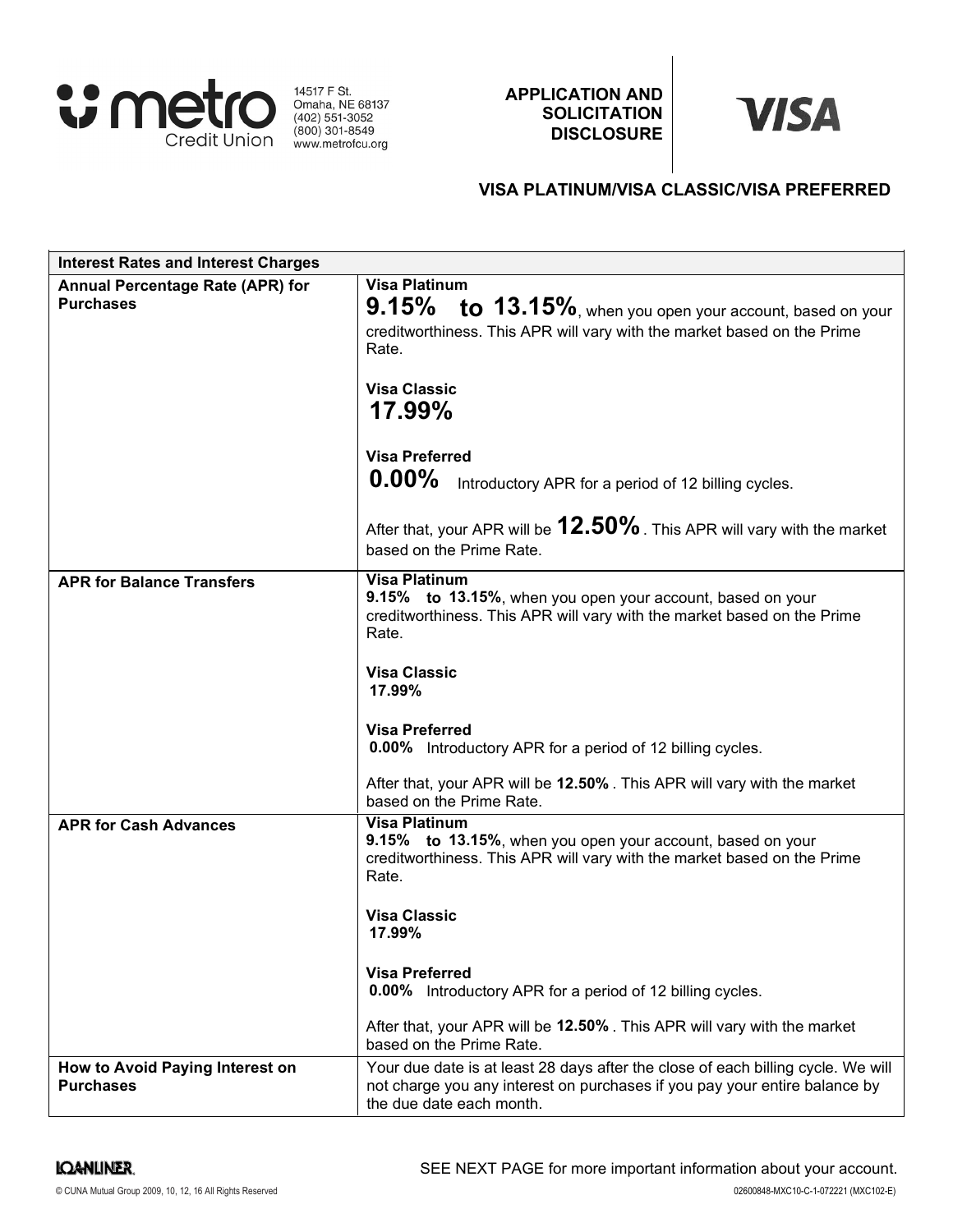

14517 F St.<br>
Omaha, NE 68137<br>
(402) 551-3052<br>
(800) 301-8549 www.metrofcu.org

APPLICATION AND **SOLICITATION DISCLOSURE** 

# **VISA**

# VISA PLATINUM/VISA CLASSIC/VISA PREFERRED

| <b>Interest Rates and Interest Charges</b>           |                                                                                                                                                                                                               |
|------------------------------------------------------|---------------------------------------------------------------------------------------------------------------------------------------------------------------------------------------------------------------|
| Annual Percentage Rate (APR) for<br><b>Purchases</b> | <b>Visa Platinum</b><br>$9.15\%$ to $13.15\%$ , when you open your account, based on your<br>creditworthiness. This APR will vary with the market based on the Prime<br>Rate.<br><b>Visa Classic</b>          |
|                                                      | 17.99%<br><b>Visa Preferred</b><br>$0.00\%$<br>Introductory APR for a period of 12 billing cycles.<br>After that, your APR will be $12.50\%$ . This APR will vary with the market<br>based on the Prime Rate. |
| <b>APR for Balance Transfers</b>                     | <b>Visa Platinum</b><br>9.15% to 13.15%, when you open your account, based on your<br>creditworthiness. This APR will vary with the market based on the Prime<br>Rate.<br><b>Visa Classic</b><br>17.99%       |
|                                                      | <b>Visa Preferred</b><br><b>0.00%</b> Introductory APR for a period of 12 billing cycles.<br>After that, your APR will be 12.50%. This APR will vary with the market<br>based on the Prime Rate.              |
| <b>APR for Cash Advances</b>                         | <b>Visa Platinum</b><br>9.15% to 13.15%, when you open your account, based on your<br>creditworthiness. This APR will vary with the market based on the Prime<br>Rate.<br><b>Visa Classic</b><br>17.99%       |
|                                                      | <b>Visa Preferred</b><br><b>0.00%</b> Introductory APR for a period of 12 billing cycles.<br>After that, your APR will be 12.50%. This APR will vary with the market<br>based on the Prime Rate.              |
| How to Avoid Paying Interest on<br><b>Purchases</b>  | Your due date is at least 28 days after the close of each billing cycle. We will<br>not charge you any interest on purchases if you pay your entire balance by<br>the due date each month.                    |